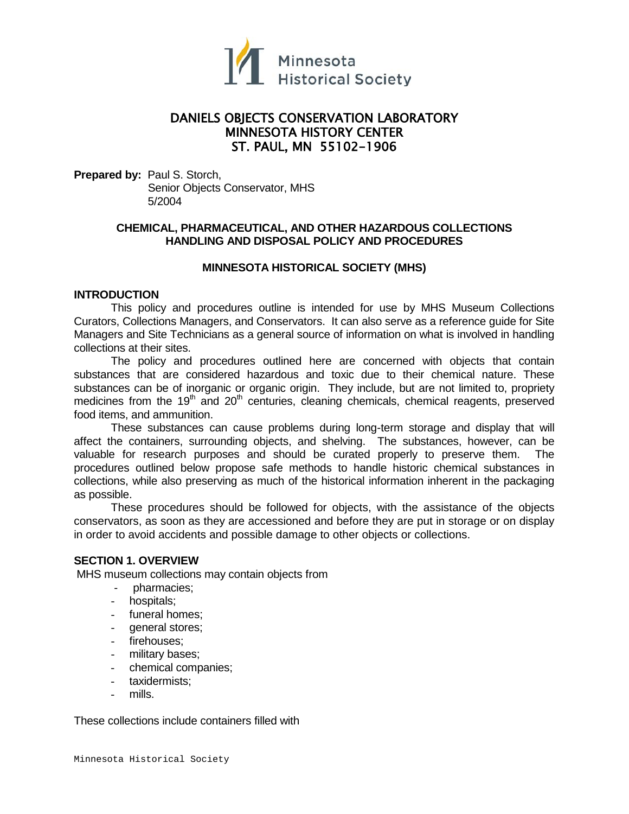

# DANIELS OBJECTS CONSERVATION LABORATORY MINNESOTA HISTORY CENTER ST. PAUL, MN 55102-1906

**Prepared by:** Paul S. Storch, Senior Objects Conservator, MHS 5/2004

# **CHEMICAL, PHARMACEUTICAL, AND OTHER HAZARDOUS COLLECTIONS HANDLING AND DISPOSAL POLICY AND PROCEDURES**

### **MINNESOTA HISTORICAL SOCIETY (MHS)**

## **INTRODUCTION**

This policy and procedures outline is intended for use by MHS Museum Collections Curators, Collections Managers, and Conservators. It can also serve as a reference guide for Site Managers and Site Technicians as a general source of information on what is involved in handling collections at their sites.

The policy and procedures outlined here are concerned with objects that contain substances that are considered hazardous and toxic due to their chemical nature. These substances can be of inorganic or organic origin. They include, but are not limited to, propriety medicines from the  $19<sup>th</sup>$  and  $20<sup>th</sup>$  centuries, cleaning chemicals, chemical reagents, preserved food items, and ammunition.

These substances can cause problems during long-term storage and display that will affect the containers, surrounding objects, and shelving. The substances, however, can be valuable for research purposes and should be curated properly to preserve them. The procedures outlined below propose safe methods to handle historic chemical substances in collections, while also preserving as much of the historical information inherent in the packaging as possible.

These procedures should be followed for objects, with the assistance of the objects conservators, as soon as they are accessioned and before they are put in storage or on display in order to avoid accidents and possible damage to other objects or collections.

### **SECTION 1. OVERVIEW**

MHS museum collections may contain objects from

- pharmacies;
- hospitals;
- funeral homes;
- general stores;
- firehouses;
- military bases;
- chemical companies;
- taxidermists;
- mills.

These collections include containers filled with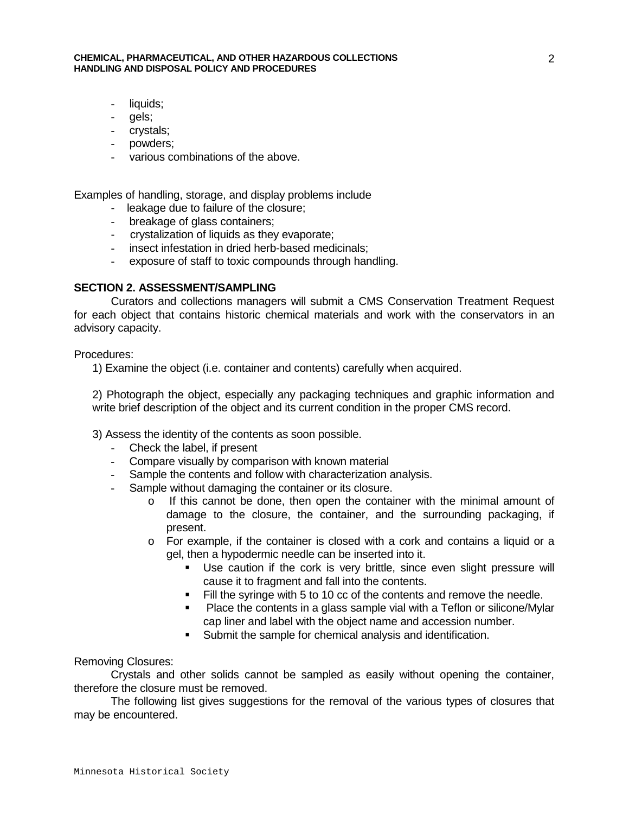#### **CHEMICAL, PHARMACEUTICAL, AND OTHER HAZARDOUS COLLECTIONS HANDLING AND DISPOSAL POLICY AND PROCEDURES**

- liquids;
- gels;
- crystals;
- powders;
- various combinations of the above.

Examples of handling, storage, and display problems include

- leakage due to failure of the closure;
- breakage of glass containers;
- crystalization of liquids as they evaporate;
- insect infestation in dried herb-based medicinals;
- exposure of staff to toxic compounds through handling.

### **SECTION 2. ASSESSMENT/SAMPLING**

Curators and collections managers will submit a CMS Conservation Treatment Request for each object that contains historic chemical materials and work with the conservators in an advisory capacity.

Procedures:

1) Examine the object (i.e. container and contents) carefully when acquired.

2) Photograph the object, especially any packaging techniques and graphic information and write brief description of the object and its current condition in the proper CMS record.

- 3) Assess the identity of the contents as soon possible.
	- Check the label, if present
	- Compare visually by comparison with known material
	- Sample the contents and follow with characterization analysis.
	- Sample without damaging the container or its closure.
		- o If this cannot be done, then open the container with the minimal amount of damage to the closure, the container, and the surrounding packaging, if present.
		- o For example, if the container is closed with a cork and contains a liquid or a gel, then a hypodermic needle can be inserted into it.
			- Use caution if the cork is very brittle, since even slight pressure will cause it to fragment and fall into the contents.
			- Fill the syringe with 5 to 10 cc of the contents and remove the needle.
			- **Place the contents in a glass sample vial with a Teflon or silicone/Mylar** cap liner and label with the object name and accession number.
			- Submit the sample for chemical analysis and identification.

Removing Closures:

Crystals and other solids cannot be sampled as easily without opening the container, therefore the closure must be removed.

The following list gives suggestions for the removal of the various types of closures that may be encountered.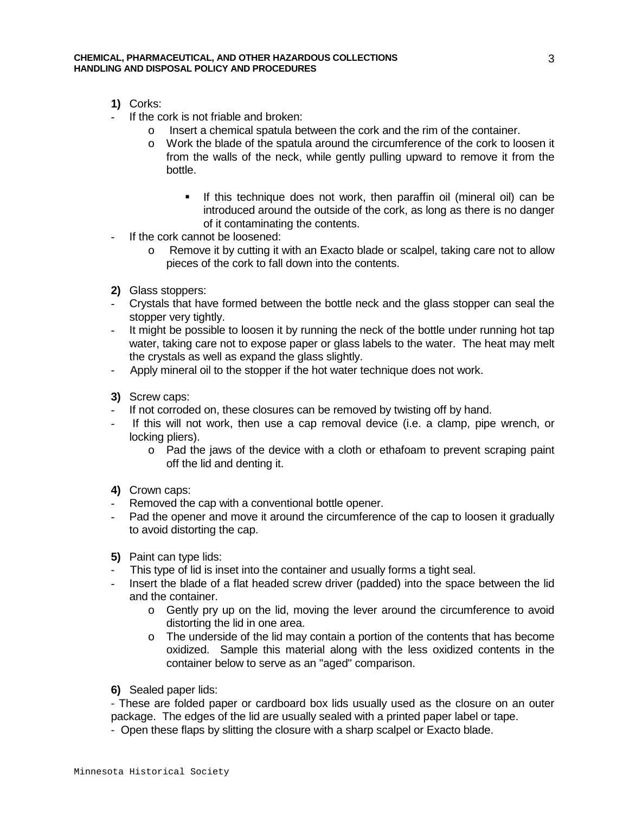- **1)** Corks:
- If the cork is not friable and broken:
	- o Insert a chemical spatula between the cork and the rim of the container.
	- o Work the blade of the spatula around the circumference of the cork to loosen it from the walls of the neck, while gently pulling upward to remove it from the bottle.
		- If this technique does not work, then paraffin oil (mineral oil) can be introduced around the outside of the cork, as long as there is no danger of it contaminating the contents.
- If the cork cannot be loosened:
	- o Remove it by cutting it with an Exacto blade or scalpel, taking care not to allow pieces of the cork to fall down into the contents.
- **2)** Glass stoppers:
- Crystals that have formed between the bottle neck and the glass stopper can seal the stopper very tightly.
- It might be possible to loosen it by running the neck of the bottle under running hot tap water, taking care not to expose paper or glass labels to the water. The heat may melt the crystals as well as expand the glass slightly.
- Apply mineral oil to the stopper if the hot water technique does not work.
- **3)** Screw caps:
- If not corroded on, these closures can be removed by twisting off by hand.
- If this will not work, then use a cap removal device (i.e. a clamp, pipe wrench, or locking pliers).
	- o Pad the jaws of the device with a cloth or ethafoam to prevent scraping paint off the lid and denting it.
- **4)** Crown caps:
- Removed the cap with a conventional bottle opener.
- Pad the opener and move it around the circumference of the cap to loosen it gradually to avoid distorting the cap.
- **5)** Paint can type lids:
- This type of lid is inset into the container and usually forms a tight seal.
- Insert the blade of a flat headed screw driver (padded) into the space between the lid and the container.
	- o Gently pry up on the lid, moving the lever around the circumference to avoid distorting the lid in one area.
	- $\circ$  The underside of the lid may contain a portion of the contents that has become oxidized. Sample this material along with the less oxidized contents in the container below to serve as an "aged" comparison.
- **6)** Sealed paper lids:

- These are folded paper or cardboard box lids usually used as the closure on an outer package. The edges of the lid are usually sealed with a printed paper label or tape.

- Open these flaps by slitting the closure with a sharp scalpel or Exacto blade.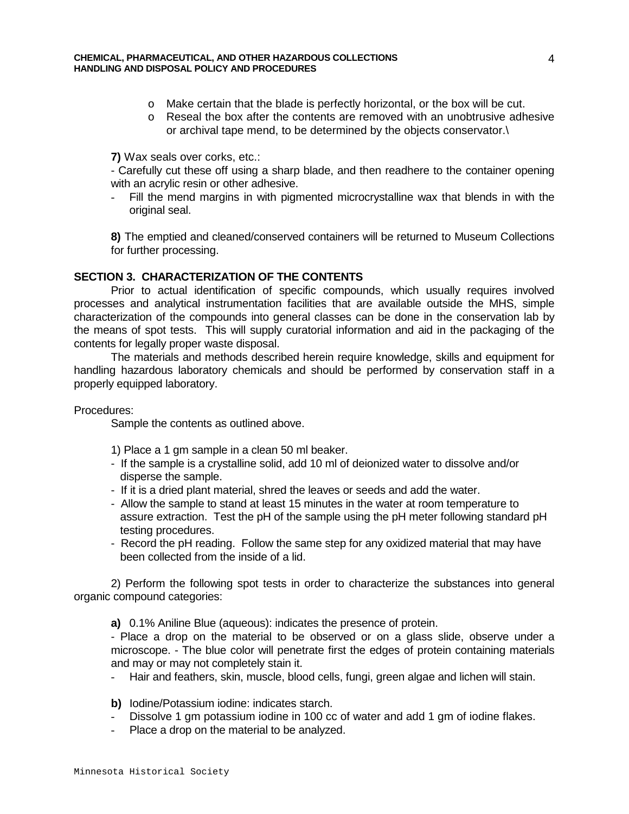- o Make certain that the blade is perfectly horizontal, or the box will be cut.
- o Reseal the box after the contents are removed with an unobtrusive adhesive or archival tape mend, to be determined by the objects conservator.\

**7)** Wax seals over corks, etc.:

- Carefully cut these off using a sharp blade, and then readhere to the container opening with an acrylic resin or other adhesive.

- Fill the mend margins in with pigmented microcrystalline wax that blends in with the original seal.

**8)** The emptied and cleaned/conserved containers will be returned to Museum Collections for further processing.

# **SECTION 3. CHARACTERIZATION OF THE CONTENTS**

Prior to actual identification of specific compounds, which usually requires involved processes and analytical instrumentation facilities that are available outside the MHS, simple characterization of the compounds into general classes can be done in the conservation lab by the means of spot tests. This will supply curatorial information and aid in the packaging of the contents for legally proper waste disposal.

The materials and methods described herein require knowledge, skills and equipment for handling hazardous laboratory chemicals and should be performed by conservation staff in a properly equipped laboratory.

Procedures:

Sample the contents as outlined above.

- 1) Place a 1 gm sample in a clean 50 ml beaker.
- If the sample is a crystalline solid, add 10 ml of deionized water to dissolve and/or disperse the sample.
- If it is a dried plant material, shred the leaves or seeds and add the water.
- Allow the sample to stand at least 15 minutes in the water at room temperature to assure extraction. Test the pH of the sample using the pH meter following standard pH testing procedures.
- Record the pH reading. Follow the same step for any oxidized material that may have been collected from the inside of a lid.

2) Perform the following spot tests in order to characterize the substances into general organic compound categories:

**a)** 0.1% Aniline Blue (aqueous): indicates the presence of protein.

- Place a drop on the material to be observed or on a glass slide, observe under a microscope. - The blue color will penetrate first the edges of protein containing materials and may or may not completely stain it.

- Hair and feathers, skin, muscle, blood cells, fungi, green algae and lichen will stain.
- **b)** Iodine/Potassium iodine: indicates starch.
- Dissolve 1 gm potassium iodine in 100 cc of water and add 1 gm of iodine flakes.
- Place a drop on the material to be analyzed.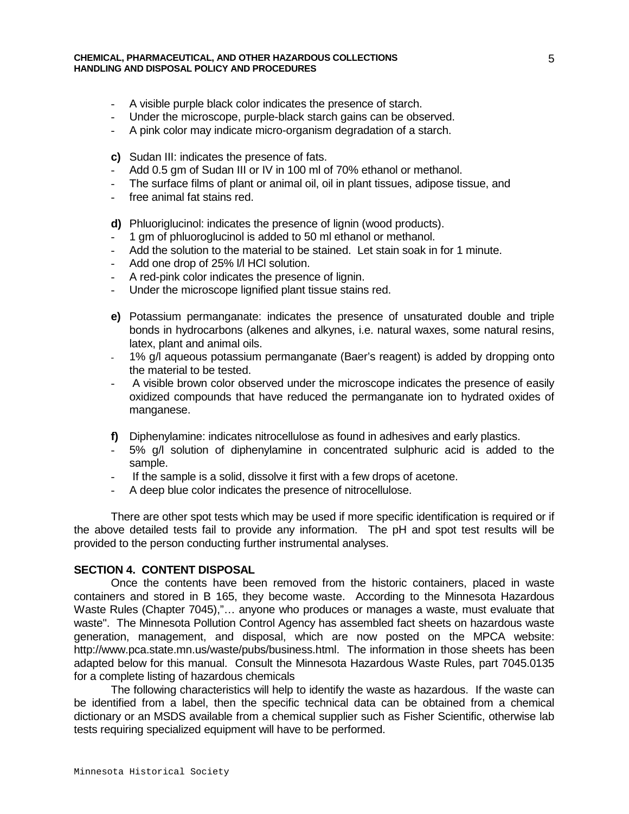- A visible purple black color indicates the presence of starch.
- Under the microscope, purple-black starch gains can be observed.
- A pink color may indicate micro-organism degradation of a starch.
- **c)** Sudan III: indicates the presence of fats.
- Add 0.5 gm of Sudan III or IV in 100 ml of 70% ethanol or methanol.
- The surface films of plant or animal oil, oil in plant tissues, adipose tissue, and
- free animal fat stains red.
- **d)** Phluoriglucinol: indicates the presence of lignin (wood products).
- 1 gm of phluoroglucinol is added to 50 ml ethanol or methanol.
- Add the solution to the material to be stained. Let stain soak in for 1 minute.
- Add one drop of 25% l/l HCl solution.
- A red-pink color indicates the presence of lignin.
- Under the microscope lignified plant tissue stains red.
- **e)** Potassium permanganate: indicates the presence of unsaturated double and triple bonds in hydrocarbons (alkenes and alkynes, i.e. natural waxes, some natural resins, latex, plant and animal oils.
- 1% g/l aqueous potassium permanganate (Baer's reagent) is added by dropping onto the material to be tested.
- A visible brown color observed under the microscope indicates the presence of easily oxidized compounds that have reduced the permanganate ion to hydrated oxides of manganese.
- **f)** Diphenylamine: indicates nitrocellulose as found in adhesives and early plastics.
- 5% g/l solution of diphenylamine in concentrated sulphuric acid is added to the sample.
- If the sample is a solid, dissolve it first with a few drops of acetone.
- A deep blue color indicates the presence of nitrocellulose.

There are other spot tests which may be used if more specific identification is required or if the above detailed tests fail to provide any information. The pH and spot test results will be provided to the person conducting further instrumental analyses.

#### **SECTION 4. CONTENT DISPOSAL**

Once the contents have been removed from the historic containers, placed in waste containers and stored in B 165, they become waste. According to the Minnesota Hazardous Waste Rules (Chapter 7045),"… anyone who produces or manages a waste, must evaluate that waste". The Minnesota Pollution Control Agency has assembled fact sheets on hazardous waste generation, management, and disposal, which are now posted on the MPCA website: http://www.pca.state.mn.us/waste/pubs/business.html. The information in those sheets has been adapted below for this manual. Consult the Minnesota Hazardous Waste Rules, part 7045.0135 for a complete listing of hazardous chemicals

The following characteristics will help to identify the waste as hazardous. If the waste can be identified from a label, then the specific technical data can be obtained from a chemical dictionary or an MSDS available from a chemical supplier such as Fisher Scientific, otherwise lab tests requiring specialized equipment will have to be performed.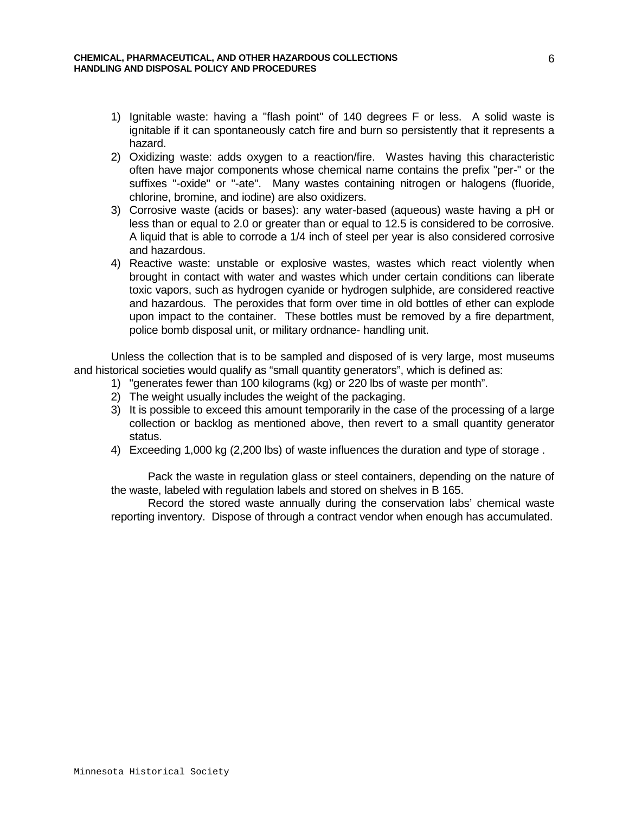- 1) Ignitable waste: having a "flash point" of 140 degrees F or less. A solid waste is ignitable if it can spontaneously catch fire and burn so persistently that it represents a hazard.
- 2) Oxidizing waste: adds oxygen to a reaction/fire. Wastes having this characteristic often have major components whose chemical name contains the prefix "per-" or the suffixes "-oxide" or "-ate". Many wastes containing nitrogen or halogens (fluoride, chlorine, bromine, and iodine) are also oxidizers.
- 3) Corrosive waste (acids or bases): any water-based (aqueous) waste having a pH or less than or equal to 2.0 or greater than or equal to 12.5 is considered to be corrosive. A liquid that is able to corrode a 1/4 inch of steel per year is also considered corrosive and hazardous.
- 4) Reactive waste: unstable or explosive wastes, wastes which react violently when brought in contact with water and wastes which under certain conditions can liberate toxic vapors, such as hydrogen cyanide or hydrogen sulphide, are considered reactive and hazardous. The peroxides that form over time in old bottles of ether can explode upon impact to the container. These bottles must be removed by a fire department, police bomb disposal unit, or military ordnance- handling unit.

Unless the collection that is to be sampled and disposed of is very large, most museums and historical societies would qualify as "small quantity generators", which is defined as:

- 1) "generates fewer than 100 kilograms (kg) or 220 lbs of waste per month".
- 2) The weight usually includes the weight of the packaging.
- 3) It is possible to exceed this amount temporarily in the case of the processing of a large collection or backlog as mentioned above, then revert to a small quantity generator status.
- 4) Exceeding 1,000 kg (2,200 lbs) of waste influences the duration and type of storage .

Pack the waste in regulation glass or steel containers, depending on the nature of the waste, labeled with regulation labels and stored on shelves in B 165.

Record the stored waste annually during the conservation labs' chemical waste reporting inventory. Dispose of through a contract vendor when enough has accumulated.